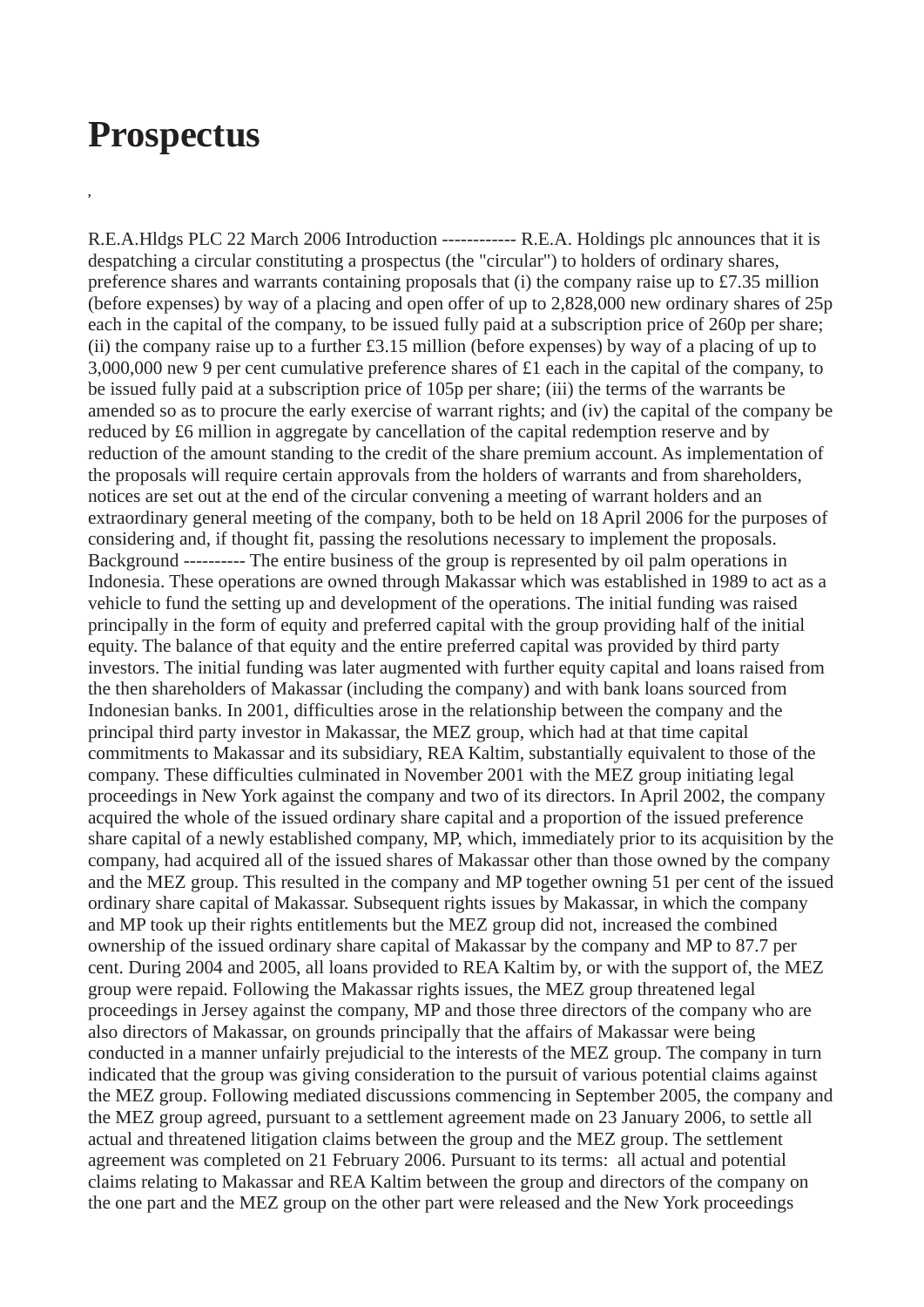## **Prospectus**

**,**

R.E.A.Hldgs PLC 22 March 2006 Introduction ------------ R.E.A. Holdings plc announces that it is despatching a circular constituting a prospectus (the "circular") to holders of ordinary shares, preference shares and warrants containing proposals that (i) the company raise up to £7.35 million (before expenses) by way of a placing and open offer of up to 2,828,000 new ordinary shares of 25p each in the capital of the company, to be issued fully paid at a subscription price of 260p per share; (ii) the company raise up to a further £3.15 million (before expenses) by way of a placing of up to 3,000,000 new 9 per cent cumulative preference shares of £1 each in the capital of the company, to be issued fully paid at a subscription price of 105p per share; (iii) the terms of the warrants be amended so as to procure the early exercise of warrant rights; and (iv) the capital of the company be reduced by £6 million in aggregate by cancellation of the capital redemption reserve and by reduction of the amount standing to the credit of the share premium account. As implementation of the proposals will require certain approvals from the holders of warrants and from shareholders, notices are set out at the end of the circular convening a meeting of warrant holders and an extraordinary general meeting of the company, both to be held on 18 April 2006 for the purposes of considering and, if thought fit, passing the resolutions necessary to implement the proposals. Background ---------- The entire business of the group is represented by oil palm operations in Indonesia. These operations are owned through Makassar which was established in 1989 to act as a vehicle to fund the setting up and development of the operations. The initial funding was raised principally in the form of equity and preferred capital with the group providing half of the initial equity. The balance of that equity and the entire preferred capital was provided by third party investors. The initial funding was later augmented with further equity capital and loans raised from the then shareholders of Makassar (including the company) and with bank loans sourced from Indonesian banks. In 2001, difficulties arose in the relationship between the company and the principal third party investor in Makassar, the MEZ group, which had at that time capital commitments to Makassar and its subsidiary, REA Kaltim, substantially equivalent to those of the company. These difficulties culminated in November 2001 with the MEZ group initiating legal proceedings in New York against the company and two of its directors. In April 2002, the company acquired the whole of the issued ordinary share capital and a proportion of the issued preference share capital of a newly established company, MP, which, immediately prior to its acquisition by the company, had acquired all of the issued shares of Makassar other than those owned by the company and the MEZ group. This resulted in the company and MP together owning 51 per cent of the issued ordinary share capital of Makassar. Subsequent rights issues by Makassar, in which the company and MP took up their rights entitlements but the MEZ group did not, increased the combined ownership of the issued ordinary share capital of Makassar by the company and MP to 87.7 per cent. During 2004 and 2005, all loans provided to REA Kaltim by, or with the support of, the MEZ group were repaid. Following the Makassar rights issues, the MEZ group threatened legal proceedings in Jersey against the company, MP and those three directors of the company who are also directors of Makassar, on grounds principally that the affairs of Makassar were being conducted in a manner unfairly prejudicial to the interests of the MEZ group. The company in turn indicated that the group was giving consideration to the pursuit of various potential claims against the MEZ group. Following mediated discussions commencing in September 2005, the company and the MEZ group agreed, pursuant to a settlement agreement made on 23 January 2006, to settle all actual and threatened litigation claims between the group and the MEZ group. The settlement agreement was completed on 21 February 2006. Pursuant to its terms: all actual and potential claims relating to Makassar and REA Kaltim between the group and directors of the company on the one part and the MEZ group on the other part were released and the New York proceedings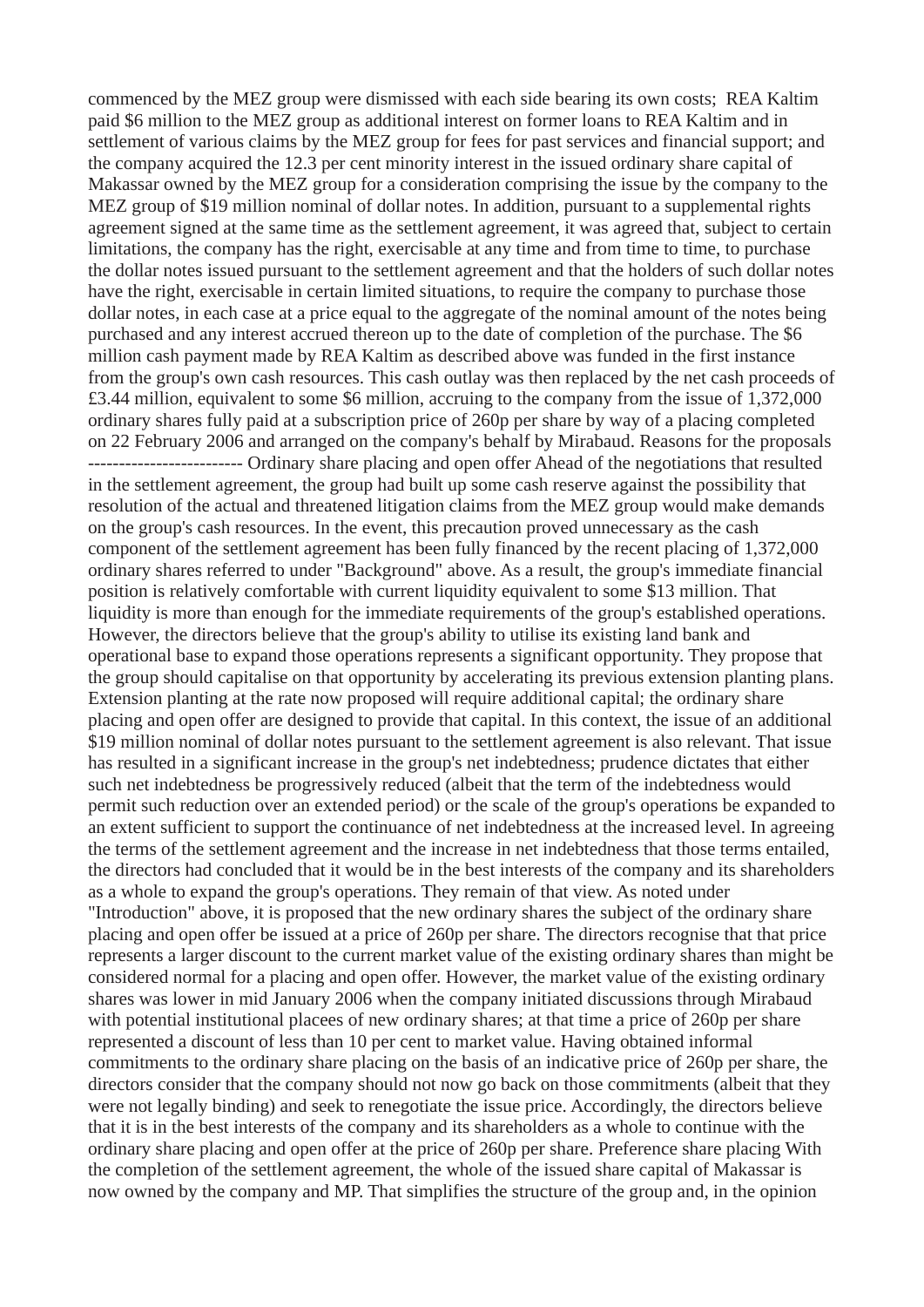commenced by the MEZ group were dismissed with each side bearing its own costs; REA Kaltim paid \$6 million to the MEZ group as additional interest on former loans to REA Kaltim and in settlement of various claims by the MEZ group for fees for past services and financial support; and the company acquired the 12.3 per cent minority interest in the issued ordinary share capital of Makassar owned by the MEZ group for a consideration comprising the issue by the company to the MEZ group of \$19 million nominal of dollar notes. In addition, pursuant to a supplemental rights agreement signed at the same time as the settlement agreement, it was agreed that, subject to certain limitations, the company has the right, exercisable at any time and from time to time, to purchase the dollar notes issued pursuant to the settlement agreement and that the holders of such dollar notes have the right, exercisable in certain limited situations, to require the company to purchase those dollar notes, in each case at a price equal to the aggregate of the nominal amount of the notes being purchased and any interest accrued thereon up to the date of completion of the purchase. The \$6 million cash payment made by REA Kaltim as described above was funded in the first instance from the group's own cash resources. This cash outlay was then replaced by the net cash proceeds of £3.44 million, equivalent to some \$6 million, accruing to the company from the issue of 1,372,000 ordinary shares fully paid at a subscription price of 260p per share by way of a placing completed on 22 February 2006 and arranged on the company's behalf by Mirabaud. Reasons for the proposals ------------------------- Ordinary share placing and open offer Ahead of the negotiations that resulted in the settlement agreement, the group had built up some cash reserve against the possibility that resolution of the actual and threatened litigation claims from the MEZ group would make demands on the group's cash resources. In the event, this precaution proved unnecessary as the cash component of the settlement agreement has been fully financed by the recent placing of 1,372,000 ordinary shares referred to under "Background" above. As a result, the group's immediate financial position is relatively comfortable with current liquidity equivalent to some \$13 million. That liquidity is more than enough for the immediate requirements of the group's established operations. However, the directors believe that the group's ability to utilise its existing land bank and operational base to expand those operations represents a significant opportunity. They propose that the group should capitalise on that opportunity by accelerating its previous extension planting plans. Extension planting at the rate now proposed will require additional capital; the ordinary share placing and open offer are designed to provide that capital. In this context, the issue of an additional \$19 million nominal of dollar notes pursuant to the settlement agreement is also relevant. That issue has resulted in a significant increase in the group's net indebtedness; prudence dictates that either such net indebtedness be progressively reduced (albeit that the term of the indebtedness would permit such reduction over an extended period) or the scale of the group's operations be expanded to an extent sufficient to support the continuance of net indebtedness at the increased level. In agreeing the terms of the settlement agreement and the increase in net indebtedness that those terms entailed, the directors had concluded that it would be in the best interests of the company and its shareholders as a whole to expand the group's operations. They remain of that view. As noted under "Introduction" above, it is proposed that the new ordinary shares the subject of the ordinary share placing and open offer be issued at a price of 260p per share. The directors recognise that that price represents a larger discount to the current market value of the existing ordinary shares than might be considered normal for a placing and open offer. However, the market value of the existing ordinary shares was lower in mid January 2006 when the company initiated discussions through Mirabaud with potential institutional placees of new ordinary shares; at that time a price of 260p per share represented a discount of less than 10 per cent to market value. Having obtained informal commitments to the ordinary share placing on the basis of an indicative price of 260p per share, the directors consider that the company should not now go back on those commitments (albeit that they were not legally binding) and seek to renegotiate the issue price. Accordingly, the directors believe that it is in the best interests of the company and its shareholders as a whole to continue with the ordinary share placing and open offer at the price of 260p per share. Preference share placing With the completion of the settlement agreement, the whole of the issued share capital of Makassar is now owned by the company and MP. That simplifies the structure of the group and, in the opinion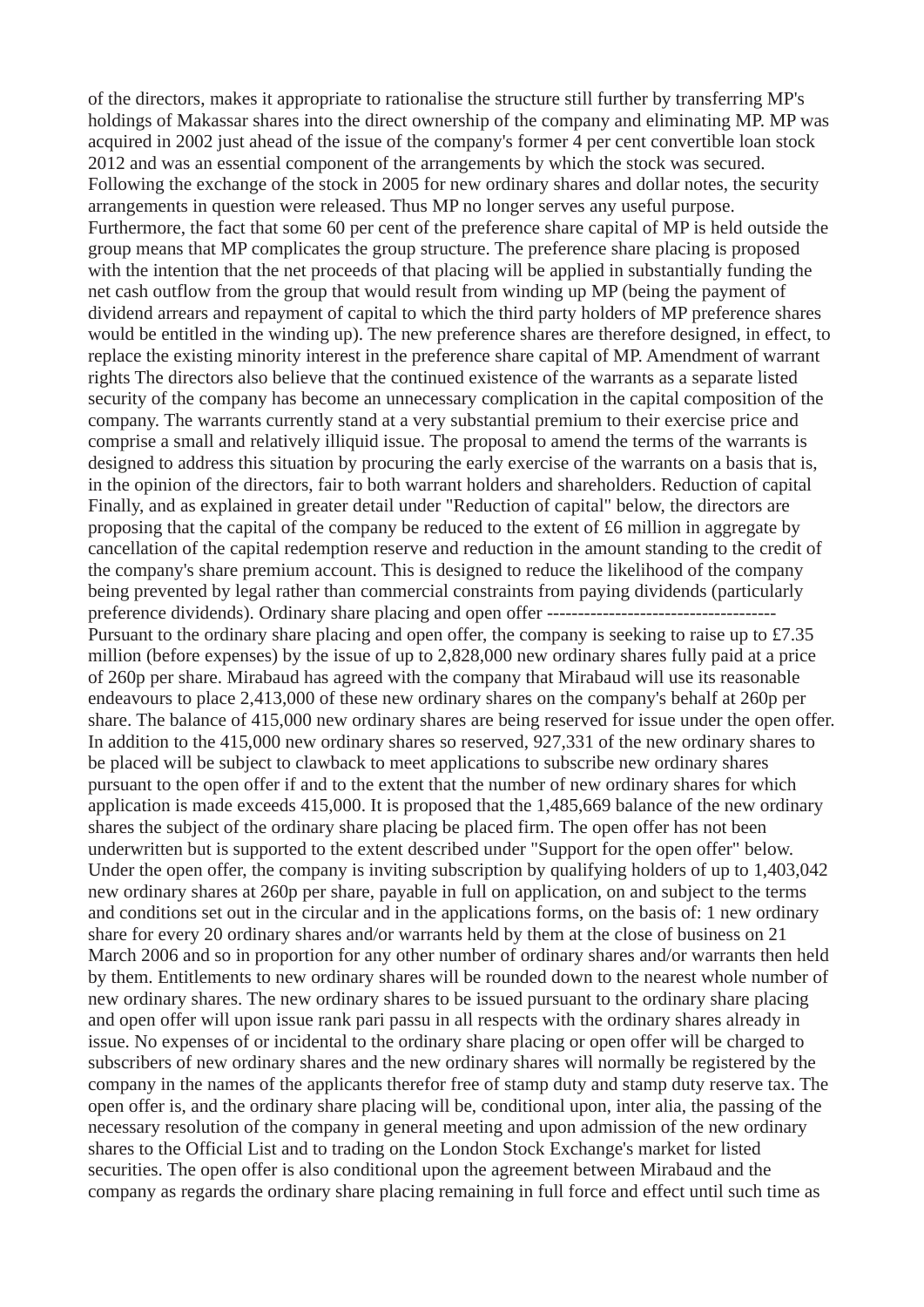of the directors, makes it appropriate to rationalise the structure still further by transferring MP's holdings of Makassar shares into the direct ownership of the company and eliminating MP. MP was acquired in 2002 just ahead of the issue of the company's former 4 per cent convertible loan stock 2012 and was an essential component of the arrangements by which the stock was secured. Following the exchange of the stock in 2005 for new ordinary shares and dollar notes, the security arrangements in question were released. Thus MP no longer serves any useful purpose. Furthermore, the fact that some 60 per cent of the preference share capital of MP is held outside the group means that MP complicates the group structure. The preference share placing is proposed with the intention that the net proceeds of that placing will be applied in substantially funding the net cash outflow from the group that would result from winding up MP (being the payment of dividend arrears and repayment of capital to which the third party holders of MP preference shares would be entitled in the winding up). The new preference shares are therefore designed, in effect, to replace the existing minority interest in the preference share capital of MP. Amendment of warrant rights The directors also believe that the continued existence of the warrants as a separate listed security of the company has become an unnecessary complication in the capital composition of the company. The warrants currently stand at a very substantial premium to their exercise price and comprise a small and relatively illiquid issue. The proposal to amend the terms of the warrants is designed to address this situation by procuring the early exercise of the warrants on a basis that is, in the opinion of the directors, fair to both warrant holders and shareholders. Reduction of capital Finally, and as explained in greater detail under "Reduction of capital" below, the directors are proposing that the capital of the company be reduced to the extent of £6 million in aggregate by cancellation of the capital redemption reserve and reduction in the amount standing to the credit of the company's share premium account. This is designed to reduce the likelihood of the company being prevented by legal rather than commercial constraints from paying dividends (particularly preference dividends). Ordinary share placing and open offer ---------Pursuant to the ordinary share placing and open offer, the company is seeking to raise up to £7.35 million (before expenses) by the issue of up to 2,828,000 new ordinary shares fully paid at a price of 260p per share. Mirabaud has agreed with the company that Mirabaud will use its reasonable endeavours to place 2,413,000 of these new ordinary shares on the company's behalf at 260p per share. The balance of 415,000 new ordinary shares are being reserved for issue under the open offer. In addition to the 415,000 new ordinary shares so reserved, 927,331 of the new ordinary shares to be placed will be subject to clawback to meet applications to subscribe new ordinary shares pursuant to the open offer if and to the extent that the number of new ordinary shares for which application is made exceeds 415,000. It is proposed that the 1,485,669 balance of the new ordinary shares the subject of the ordinary share placing be placed firm. The open offer has not been underwritten but is supported to the extent described under "Support for the open offer" below. Under the open offer, the company is inviting subscription by qualifying holders of up to 1,403,042 new ordinary shares at 260p per share, payable in full on application, on and subject to the terms and conditions set out in the circular and in the applications forms, on the basis of: 1 new ordinary share for every 20 ordinary shares and/or warrants held by them at the close of business on 21 March 2006 and so in proportion for any other number of ordinary shares and/or warrants then held by them. Entitlements to new ordinary shares will be rounded down to the nearest whole number of new ordinary shares. The new ordinary shares to be issued pursuant to the ordinary share placing and open offer will upon issue rank pari passu in all respects with the ordinary shares already in issue. No expenses of or incidental to the ordinary share placing or open offer will be charged to subscribers of new ordinary shares and the new ordinary shares will normally be registered by the company in the names of the applicants therefor free of stamp duty and stamp duty reserve tax. The open offer is, and the ordinary share placing will be, conditional upon, inter alia, the passing of the necessary resolution of the company in general meeting and upon admission of the new ordinary shares to the Official List and to trading on the London Stock Exchange's market for listed securities. The open offer is also conditional upon the agreement between Mirabaud and the company as regards the ordinary share placing remaining in full force and effect until such time as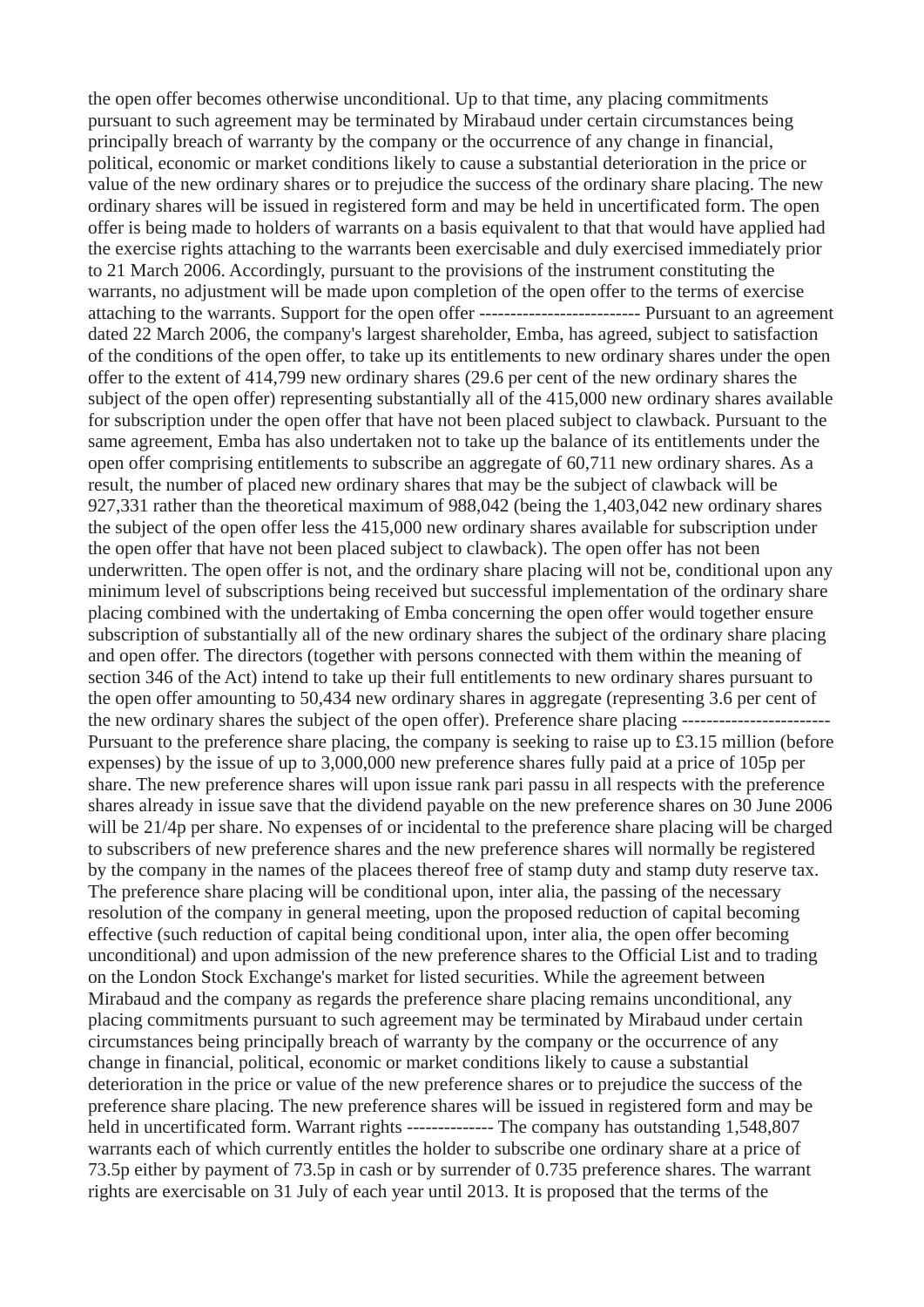the open offer becomes otherwise unconditional. Up to that time, any placing commitments pursuant to such agreement may be terminated by Mirabaud under certain circumstances being principally breach of warranty by the company or the occurrence of any change in financial, political, economic or market conditions likely to cause a substantial deterioration in the price or value of the new ordinary shares or to prejudice the success of the ordinary share placing. The new ordinary shares will be issued in registered form and may be held in uncertificated form. The open offer is being made to holders of warrants on a basis equivalent to that that would have applied had the exercise rights attaching to the warrants been exercisable and duly exercised immediately prior to 21 March 2006. Accordingly, pursuant to the provisions of the instrument constituting the warrants, no adjustment will be made upon completion of the open offer to the terms of exercise attaching to the warrants. Support for the open offer -------------------------- Pursuant to an agreement dated 22 March 2006, the company's largest shareholder, Emba, has agreed, subject to satisfaction of the conditions of the open offer, to take up its entitlements to new ordinary shares under the open offer to the extent of 414,799 new ordinary shares (29.6 per cent of the new ordinary shares the subject of the open offer) representing substantially all of the 415,000 new ordinary shares available for subscription under the open offer that have not been placed subject to clawback. Pursuant to the same agreement, Emba has also undertaken not to take up the balance of its entitlements under the open offer comprising entitlements to subscribe an aggregate of 60,711 new ordinary shares. As a result, the number of placed new ordinary shares that may be the subject of clawback will be 927,331 rather than the theoretical maximum of 988,042 (being the 1,403,042 new ordinary shares the subject of the open offer less the 415,000 new ordinary shares available for subscription under the open offer that have not been placed subject to clawback). The open offer has not been underwritten. The open offer is not, and the ordinary share placing will not be, conditional upon any minimum level of subscriptions being received but successful implementation of the ordinary share placing combined with the undertaking of Emba concerning the open offer would together ensure subscription of substantially all of the new ordinary shares the subject of the ordinary share placing and open offer. The directors (together with persons connected with them within the meaning of section 346 of the Act) intend to take up their full entitlements to new ordinary shares pursuant to the open offer amounting to 50,434 new ordinary shares in aggregate (representing 3.6 per cent of the new ordinary shares the subject of the open offer). Preference share placing -----------Pursuant to the preference share placing, the company is seeking to raise up to £3.15 million (before expenses) by the issue of up to 3,000,000 new preference shares fully paid at a price of 105p per share. The new preference shares will upon issue rank pari passu in all respects with the preference shares already in issue save that the dividend payable on the new preference shares on 30 June 2006 will be 21/4p per share. No expenses of or incidental to the preference share placing will be charged to subscribers of new preference shares and the new preference shares will normally be registered by the company in the names of the placees thereof free of stamp duty and stamp duty reserve tax. The preference share placing will be conditional upon, inter alia, the passing of the necessary resolution of the company in general meeting, upon the proposed reduction of capital becoming effective (such reduction of capital being conditional upon, inter alia, the open offer becoming unconditional) and upon admission of the new preference shares to the Official List and to trading on the London Stock Exchange's market for listed securities. While the agreement between Mirabaud and the company as regards the preference share placing remains unconditional, any placing commitments pursuant to such agreement may be terminated by Mirabaud under certain circumstances being principally breach of warranty by the company or the occurrence of any change in financial, political, economic or market conditions likely to cause a substantial deterioration in the price or value of the new preference shares or to prejudice the success of the preference share placing. The new preference shares will be issued in registered form and may be held in uncertificated form. Warrant rights -------------- The company has outstanding 1,548,807 warrants each of which currently entitles the holder to subscribe one ordinary share at a price of 73.5p either by payment of 73.5p in cash or by surrender of 0.735 preference shares. The warrant rights are exercisable on 31 July of each year until 2013. It is proposed that the terms of the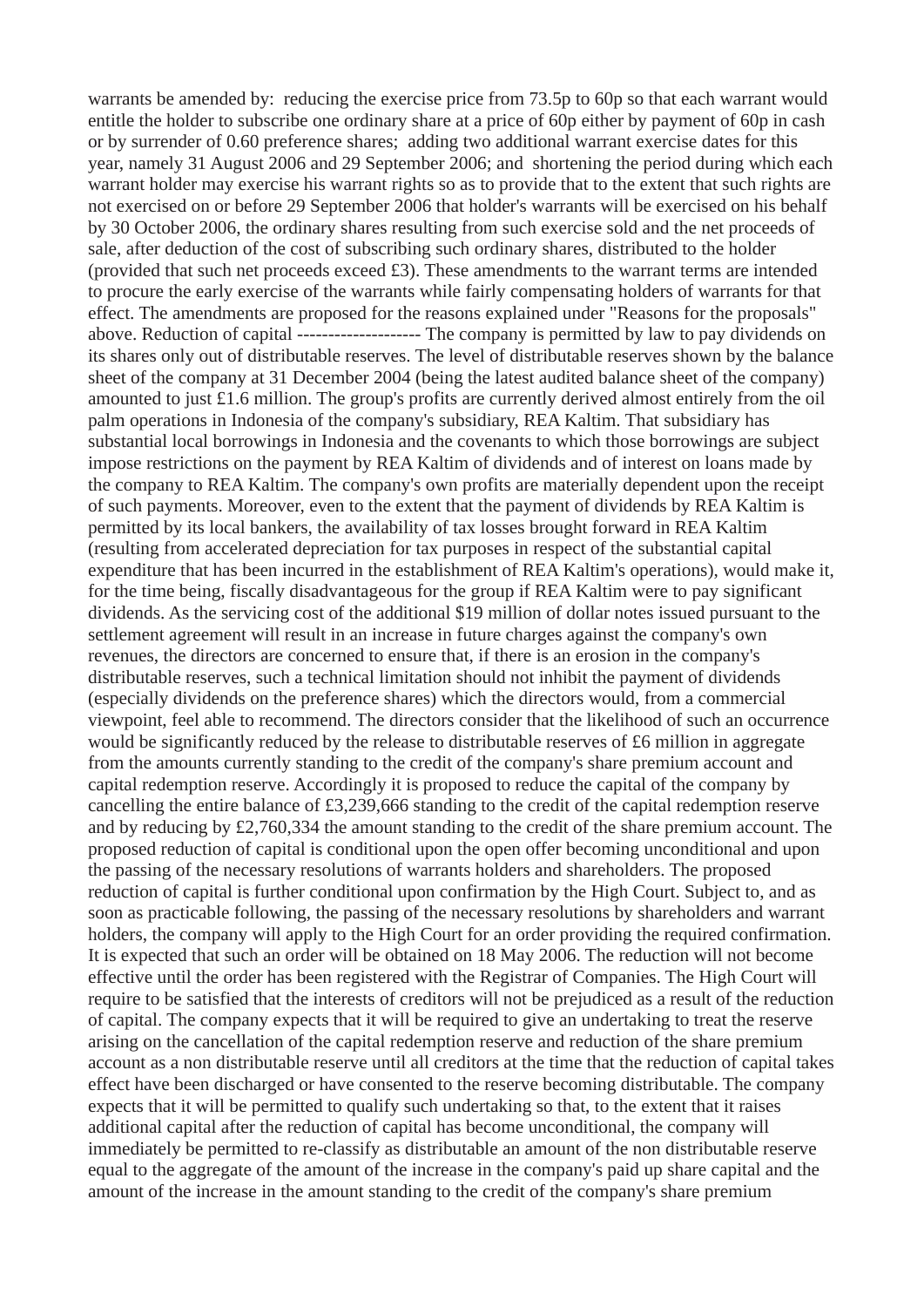warrants be amended by: reducing the exercise price from 73.5p to 60p so that each warrant would entitle the holder to subscribe one ordinary share at a price of 60p either by payment of 60p in cash or by surrender of 0.60 preference shares; adding two additional warrant exercise dates for this year, namely 31 August 2006 and 29 September 2006; and shortening the period during which each warrant holder may exercise his warrant rights so as to provide that to the extent that such rights are not exercised on or before 29 September 2006 that holder's warrants will be exercised on his behalf by 30 October 2006, the ordinary shares resulting from such exercise sold and the net proceeds of sale, after deduction of the cost of subscribing such ordinary shares, distributed to the holder (provided that such net proceeds exceed £3). These amendments to the warrant terms are intended to procure the early exercise of the warrants while fairly compensating holders of warrants for that effect. The amendments are proposed for the reasons explained under "Reasons for the proposals" above. Reduction of capital -------------------- The company is permitted by law to pay dividends on its shares only out of distributable reserves. The level of distributable reserves shown by the balance sheet of the company at 31 December 2004 (being the latest audited balance sheet of the company) amounted to just £1.6 million. The group's profits are currently derived almost entirely from the oil palm operations in Indonesia of the company's subsidiary, REA Kaltim. That subsidiary has substantial local borrowings in Indonesia and the covenants to which those borrowings are subject impose restrictions on the payment by REA Kaltim of dividends and of interest on loans made by the company to REA Kaltim. The company's own profits are materially dependent upon the receipt of such payments. Moreover, even to the extent that the payment of dividends by REA Kaltim is permitted by its local bankers, the availability of tax losses brought forward in REA Kaltim (resulting from accelerated depreciation for tax purposes in respect of the substantial capital expenditure that has been incurred in the establishment of REA Kaltim's operations), would make it, for the time being, fiscally disadvantageous for the group if REA Kaltim were to pay significant dividends. As the servicing cost of the additional \$19 million of dollar notes issued pursuant to the settlement agreement will result in an increase in future charges against the company's own revenues, the directors are concerned to ensure that, if there is an erosion in the company's distributable reserves, such a technical limitation should not inhibit the payment of dividends (especially dividends on the preference shares) which the directors would, from a commercial viewpoint, feel able to recommend. The directors consider that the likelihood of such an occurrence would be significantly reduced by the release to distributable reserves of £6 million in aggregate from the amounts currently standing to the credit of the company's share premium account and capital redemption reserve. Accordingly it is proposed to reduce the capital of the company by cancelling the entire balance of £3,239,666 standing to the credit of the capital redemption reserve and by reducing by £2,760,334 the amount standing to the credit of the share premium account. The proposed reduction of capital is conditional upon the open offer becoming unconditional and upon the passing of the necessary resolutions of warrants holders and shareholders. The proposed reduction of capital is further conditional upon confirmation by the High Court. Subject to, and as soon as practicable following, the passing of the necessary resolutions by shareholders and warrant holders, the company will apply to the High Court for an order providing the required confirmation. It is expected that such an order will be obtained on 18 May 2006. The reduction will not become effective until the order has been registered with the Registrar of Companies. The High Court will require to be satisfied that the interests of creditors will not be prejudiced as a result of the reduction of capital. The company expects that it will be required to give an undertaking to treat the reserve arising on the cancellation of the capital redemption reserve and reduction of the share premium account as a non distributable reserve until all creditors at the time that the reduction of capital takes effect have been discharged or have consented to the reserve becoming distributable. The company expects that it will be permitted to qualify such undertaking so that, to the extent that it raises additional capital after the reduction of capital has become unconditional, the company will immediately be permitted to re-classify as distributable an amount of the non distributable reserve equal to the aggregate of the amount of the increase in the company's paid up share capital and the amount of the increase in the amount standing to the credit of the company's share premium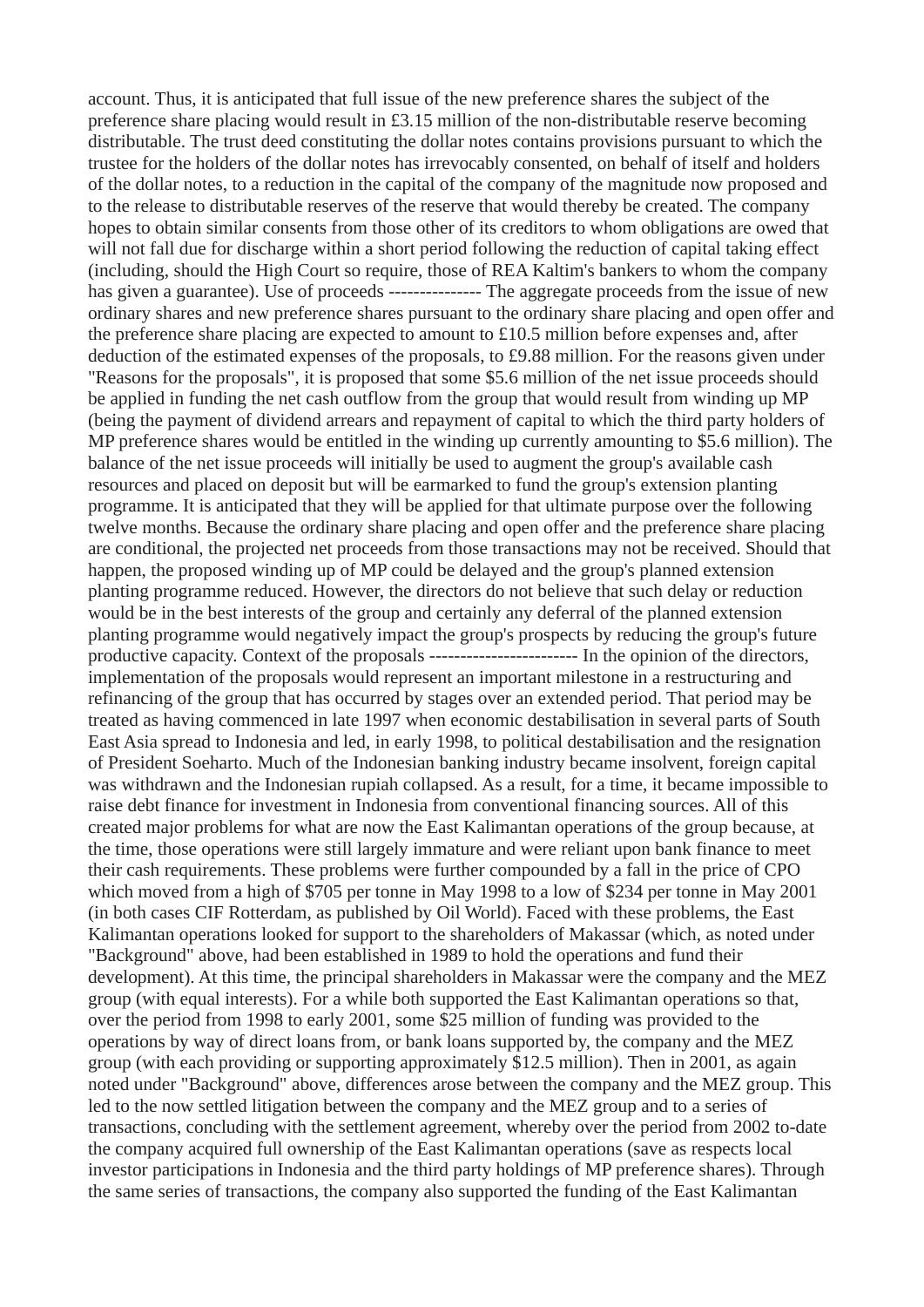account. Thus, it is anticipated that full issue of the new preference shares the subject of the preference share placing would result in £3.15 million of the non-distributable reserve becoming distributable. The trust deed constituting the dollar notes contains provisions pursuant to which the trustee for the holders of the dollar notes has irrevocably consented, on behalf of itself and holders of the dollar notes, to a reduction in the capital of the company of the magnitude now proposed and to the release to distributable reserves of the reserve that would thereby be created. The company hopes to obtain similar consents from those other of its creditors to whom obligations are owed that will not fall due for discharge within a short period following the reduction of capital taking effect (including, should the High Court so require, those of REA Kaltim's bankers to whom the company has given a guarantee). Use of proceeds ---------------- The aggregate proceeds from the issue of new ordinary shares and new preference shares pursuant to the ordinary share placing and open offer and the preference share placing are expected to amount to £10.5 million before expenses and, after deduction of the estimated expenses of the proposals, to £9.88 million. For the reasons given under "Reasons for the proposals", it is proposed that some \$5.6 million of the net issue proceeds should be applied in funding the net cash outflow from the group that would result from winding up MP (being the payment of dividend arrears and repayment of capital to which the third party holders of MP preference shares would be entitled in the winding up currently amounting to \$5.6 million). The balance of the net issue proceeds will initially be used to augment the group's available cash resources and placed on deposit but will be earmarked to fund the group's extension planting programme. It is anticipated that they will be applied for that ultimate purpose over the following twelve months. Because the ordinary share placing and open offer and the preference share placing are conditional, the projected net proceeds from those transactions may not be received. Should that happen, the proposed winding up of MP could be delayed and the group's planned extension planting programme reduced. However, the directors do not believe that such delay or reduction would be in the best interests of the group and certainly any deferral of the planned extension planting programme would negatively impact the group's prospects by reducing the group's future productive capacity. Context of the proposals ------------------------ In the opinion of the directors, implementation of the proposals would represent an important milestone in a restructuring and refinancing of the group that has occurred by stages over an extended period. That period may be treated as having commenced in late 1997 when economic destabilisation in several parts of South East Asia spread to Indonesia and led, in early 1998, to political destabilisation and the resignation of President Soeharto. Much of the Indonesian banking industry became insolvent, foreign capital was withdrawn and the Indonesian rupiah collapsed. As a result, for a time, it became impossible to raise debt finance for investment in Indonesia from conventional financing sources. All of this created major problems for what are now the East Kalimantan operations of the group because, at the time, those operations were still largely immature and were reliant upon bank finance to meet their cash requirements. These problems were further compounded by a fall in the price of CPO which moved from a high of \$705 per tonne in May 1998 to a low of \$234 per tonne in May 2001 (in both cases CIF Rotterdam, as published by Oil World). Faced with these problems, the East Kalimantan operations looked for support to the shareholders of Makassar (which, as noted under "Background" above, had been established in 1989 to hold the operations and fund their development). At this time, the principal shareholders in Makassar were the company and the MEZ group (with equal interests). For a while both supported the East Kalimantan operations so that, over the period from 1998 to early 2001, some \$25 million of funding was provided to the operations by way of direct loans from, or bank loans supported by, the company and the MEZ group (with each providing or supporting approximately \$12.5 million). Then in 2001, as again noted under "Background" above, differences arose between the company and the MEZ group. This led to the now settled litigation between the company and the MEZ group and to a series of transactions, concluding with the settlement agreement, whereby over the period from 2002 to-date the company acquired full ownership of the East Kalimantan operations (save as respects local investor participations in Indonesia and the third party holdings of MP preference shares). Through the same series of transactions, the company also supported the funding of the East Kalimantan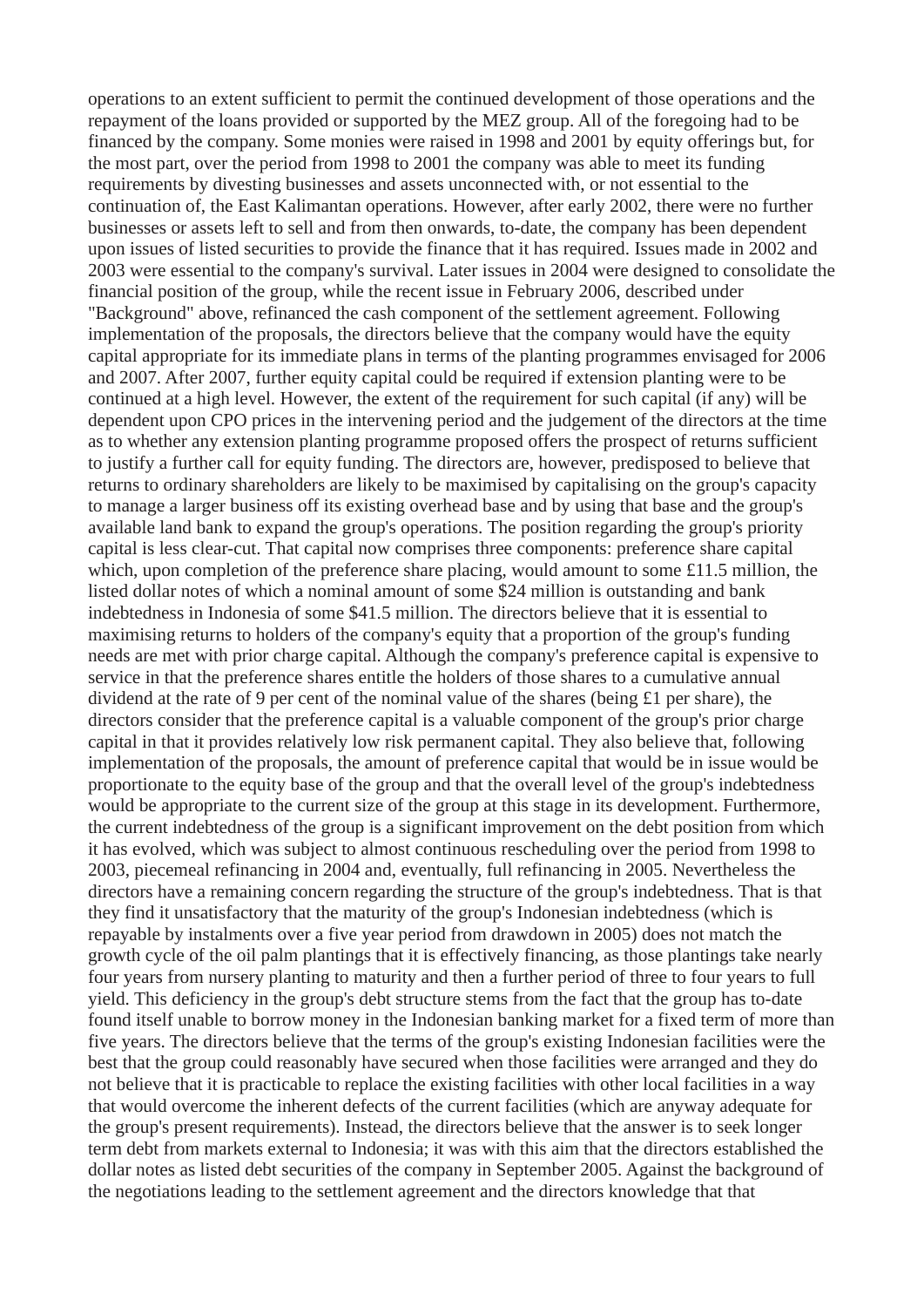operations to an extent sufficient to permit the continued development of those operations and the repayment of the loans provided or supported by the MEZ group. All of the foregoing had to be financed by the company. Some monies were raised in 1998 and 2001 by equity offerings but, for the most part, over the period from 1998 to 2001 the company was able to meet its funding requirements by divesting businesses and assets unconnected with, or not essential to the continuation of, the East Kalimantan operations. However, after early 2002, there were no further businesses or assets left to sell and from then onwards, to-date, the company has been dependent upon issues of listed securities to provide the finance that it has required. Issues made in 2002 and 2003 were essential to the company's survival. Later issues in 2004 were designed to consolidate the financial position of the group, while the recent issue in February 2006, described under "Background" above, refinanced the cash component of the settlement agreement. Following implementation of the proposals, the directors believe that the company would have the equity capital appropriate for its immediate plans in terms of the planting programmes envisaged for 2006 and 2007. After 2007, further equity capital could be required if extension planting were to be continued at a high level. However, the extent of the requirement for such capital (if any) will be dependent upon CPO prices in the intervening period and the judgement of the directors at the time as to whether any extension planting programme proposed offers the prospect of returns sufficient to justify a further call for equity funding. The directors are, however, predisposed to believe that returns to ordinary shareholders are likely to be maximised by capitalising on the group's capacity to manage a larger business off its existing overhead base and by using that base and the group's available land bank to expand the group's operations. The position regarding the group's priority capital is less clear-cut. That capital now comprises three components: preference share capital which, upon completion of the preference share placing, would amount to some £11.5 million, the listed dollar notes of which a nominal amount of some \$24 million is outstanding and bank indebtedness in Indonesia of some \$41.5 million. The directors believe that it is essential to maximising returns to holders of the company's equity that a proportion of the group's funding needs are met with prior charge capital. Although the company's preference capital is expensive to service in that the preference shares entitle the holders of those shares to a cumulative annual dividend at the rate of 9 per cent of the nominal value of the shares (being £1 per share), the directors consider that the preference capital is a valuable component of the group's prior charge capital in that it provides relatively low risk permanent capital. They also believe that, following implementation of the proposals, the amount of preference capital that would be in issue would be proportionate to the equity base of the group and that the overall level of the group's indebtedness would be appropriate to the current size of the group at this stage in its development. Furthermore, the current indebtedness of the group is a significant improvement on the debt position from which it has evolved, which was subject to almost continuous rescheduling over the period from 1998 to 2003, piecemeal refinancing in 2004 and, eventually, full refinancing in 2005. Nevertheless the directors have a remaining concern regarding the structure of the group's indebtedness. That is that they find it unsatisfactory that the maturity of the group's Indonesian indebtedness (which is repayable by instalments over a five year period from drawdown in 2005) does not match the growth cycle of the oil palm plantings that it is effectively financing, as those plantings take nearly four years from nursery planting to maturity and then a further period of three to four years to full yield. This deficiency in the group's debt structure stems from the fact that the group has to-date found itself unable to borrow money in the Indonesian banking market for a fixed term of more than five years. The directors believe that the terms of the group's existing Indonesian facilities were the best that the group could reasonably have secured when those facilities were arranged and they do not believe that it is practicable to replace the existing facilities with other local facilities in a way that would overcome the inherent defects of the current facilities (which are anyway adequate for the group's present requirements). Instead, the directors believe that the answer is to seek longer term debt from markets external to Indonesia; it was with this aim that the directors established the dollar notes as listed debt securities of the company in September 2005. Against the background of the negotiations leading to the settlement agreement and the directors knowledge that that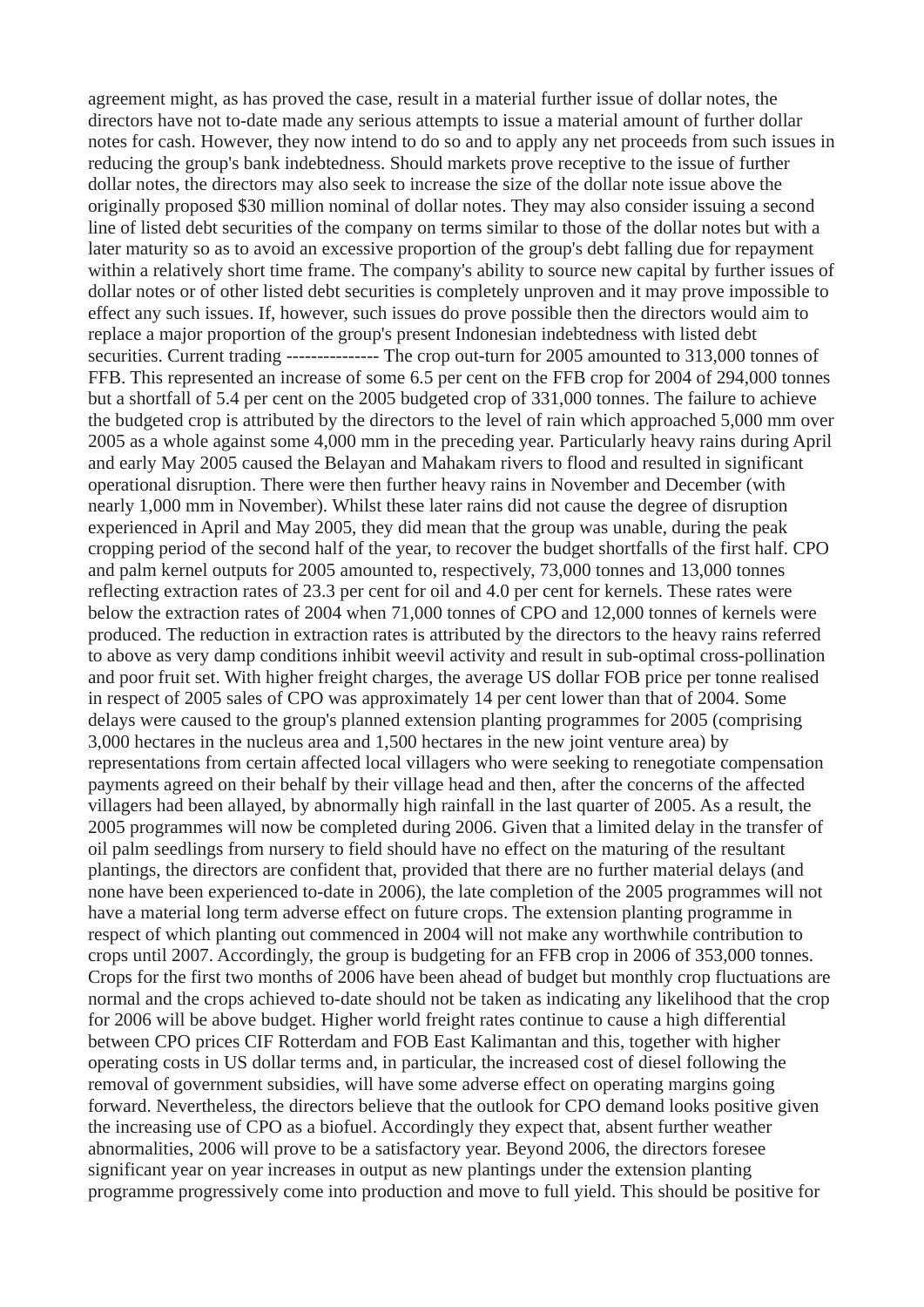agreement might, as has proved the case, result in a material further issue of dollar notes, the directors have not to-date made any serious attempts to issue a material amount of further dollar notes for cash. However, they now intend to do so and to apply any net proceeds from such issues in reducing the group's bank indebtedness. Should markets prove receptive to the issue of further dollar notes, the directors may also seek to increase the size of the dollar note issue above the originally proposed \$30 million nominal of dollar notes. They may also consider issuing a second line of listed debt securities of the company on terms similar to those of the dollar notes but with a later maturity so as to avoid an excessive proportion of the group's debt falling due for repayment within a relatively short time frame. The company's ability to source new capital by further issues of dollar notes or of other listed debt securities is completely unproven and it may prove impossible to effect any such issues. If, however, such issues do prove possible then the directors would aim to replace a major proportion of the group's present Indonesian indebtedness with listed debt securities. Current trading --------------- The crop out-turn for 2005 amounted to 313,000 tonnes of FFB. This represented an increase of some 6.5 per cent on the FFB crop for 2004 of 294,000 tonnes but a shortfall of 5.4 per cent on the 2005 budgeted crop of 331,000 tonnes. The failure to achieve the budgeted crop is attributed by the directors to the level of rain which approached 5,000 mm over 2005 as a whole against some 4,000 mm in the preceding year. Particularly heavy rains during April and early May 2005 caused the Belayan and Mahakam rivers to flood and resulted in significant operational disruption. There were then further heavy rains in November and December (with nearly 1,000 mm in November). Whilst these later rains did not cause the degree of disruption experienced in April and May 2005, they did mean that the group was unable, during the peak cropping period of the second half of the year, to recover the budget shortfalls of the first half. CPO and palm kernel outputs for 2005 amounted to, respectively, 73,000 tonnes and 13,000 tonnes reflecting extraction rates of 23.3 per cent for oil and 4.0 per cent for kernels. These rates were below the extraction rates of 2004 when 71,000 tonnes of CPO and 12,000 tonnes of kernels were produced. The reduction in extraction rates is attributed by the directors to the heavy rains referred to above as very damp conditions inhibit weevil activity and result in sub-optimal cross-pollination and poor fruit set. With higher freight charges, the average US dollar FOB price per tonne realised in respect of 2005 sales of CPO was approximately 14 per cent lower than that of 2004. Some delays were caused to the group's planned extension planting programmes for 2005 (comprising 3,000 hectares in the nucleus area and 1,500 hectares in the new joint venture area) by representations from certain affected local villagers who were seeking to renegotiate compensation payments agreed on their behalf by their village head and then, after the concerns of the affected villagers had been allayed, by abnormally high rainfall in the last quarter of 2005. As a result, the 2005 programmes will now be completed during 2006. Given that a limited delay in the transfer of oil palm seedlings from nursery to field should have no effect on the maturing of the resultant plantings, the directors are confident that, provided that there are no further material delays (and none have been experienced to-date in 2006), the late completion of the 2005 programmes will not have a material long term adverse effect on future crops. The extension planting programme in respect of which planting out commenced in 2004 will not make any worthwhile contribution to crops until 2007. Accordingly, the group is budgeting for an FFB crop in 2006 of 353,000 tonnes. Crops for the first two months of 2006 have been ahead of budget but monthly crop fluctuations are normal and the crops achieved to-date should not be taken as indicating any likelihood that the crop for 2006 will be above budget. Higher world freight rates continue to cause a high differential between CPO prices CIF Rotterdam and FOB East Kalimantan and this, together with higher operating costs in US dollar terms and, in particular, the increased cost of diesel following the removal of government subsidies, will have some adverse effect on operating margins going forward. Nevertheless, the directors believe that the outlook for CPO demand looks positive given the increasing use of CPO as a biofuel. Accordingly they expect that, absent further weather abnormalities, 2006 will prove to be a satisfactory year. Beyond 2006, the directors foresee significant year on year increases in output as new plantings under the extension planting programme progressively come into production and move to full yield. This should be positive for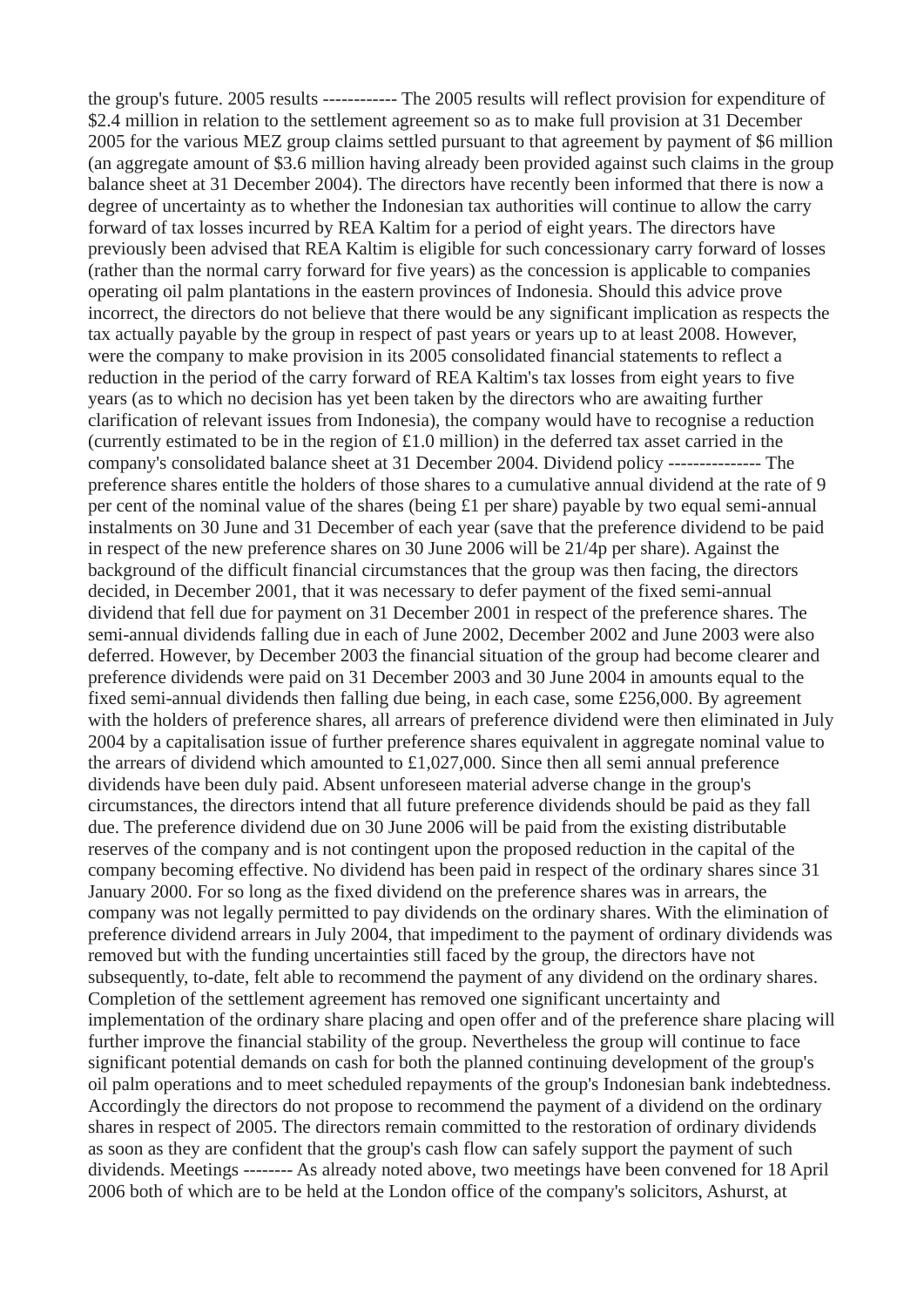the group's future. 2005 results ------------ The 2005 results will reflect provision for expenditure of \$2.4 million in relation to the settlement agreement so as to make full provision at 31 December 2005 for the various MEZ group claims settled pursuant to that agreement by payment of \$6 million (an aggregate amount of \$3.6 million having already been provided against such claims in the group balance sheet at 31 December 2004). The directors have recently been informed that there is now a degree of uncertainty as to whether the Indonesian tax authorities will continue to allow the carry forward of tax losses incurred by REA Kaltim for a period of eight years. The directors have previously been advised that REA Kaltim is eligible for such concessionary carry forward of losses (rather than the normal carry forward for five years) as the concession is applicable to companies operating oil palm plantations in the eastern provinces of Indonesia. Should this advice prove incorrect, the directors do not believe that there would be any significant implication as respects the tax actually payable by the group in respect of past years or years up to at least 2008. However, were the company to make provision in its 2005 consolidated financial statements to reflect a reduction in the period of the carry forward of REA Kaltim's tax losses from eight years to five years (as to which no decision has yet been taken by the directors who are awaiting further clarification of relevant issues from Indonesia), the company would have to recognise a reduction (currently estimated to be in the region of £1.0 million) in the deferred tax asset carried in the company's consolidated balance sheet at 31 December 2004. Dividend policy --------------- The preference shares entitle the holders of those shares to a cumulative annual dividend at the rate of 9 per cent of the nominal value of the shares (being £1 per share) payable by two equal semi-annual instalments on 30 June and 31 December of each year (save that the preference dividend to be paid in respect of the new preference shares on 30 June 2006 will be 21/4p per share). Against the background of the difficult financial circumstances that the group was then facing, the directors decided, in December 2001, that it was necessary to defer payment of the fixed semi-annual dividend that fell due for payment on 31 December 2001 in respect of the preference shares. The semi-annual dividends falling due in each of June 2002, December 2002 and June 2003 were also deferred. However, by December 2003 the financial situation of the group had become clearer and preference dividends were paid on 31 December 2003 and 30 June 2004 in amounts equal to the fixed semi-annual dividends then falling due being, in each case, some £256,000. By agreement with the holders of preference shares, all arrears of preference dividend were then eliminated in July 2004 by a capitalisation issue of further preference shares equivalent in aggregate nominal value to the arrears of dividend which amounted to £1,027,000. Since then all semi annual preference dividends have been duly paid. Absent unforeseen material adverse change in the group's circumstances, the directors intend that all future preference dividends should be paid as they fall due. The preference dividend due on 30 June 2006 will be paid from the existing distributable reserves of the company and is not contingent upon the proposed reduction in the capital of the company becoming effective. No dividend has been paid in respect of the ordinary shares since 31 January 2000. For so long as the fixed dividend on the preference shares was in arrears, the company was not legally permitted to pay dividends on the ordinary shares. With the elimination of preference dividend arrears in July 2004, that impediment to the payment of ordinary dividends was removed but with the funding uncertainties still faced by the group, the directors have not subsequently, to-date, felt able to recommend the payment of any dividend on the ordinary shares. Completion of the settlement agreement has removed one significant uncertainty and implementation of the ordinary share placing and open offer and of the preference share placing will further improve the financial stability of the group. Nevertheless the group will continue to face significant potential demands on cash for both the planned continuing development of the group's oil palm operations and to meet scheduled repayments of the group's Indonesian bank indebtedness. Accordingly the directors do not propose to recommend the payment of a dividend on the ordinary shares in respect of 2005. The directors remain committed to the restoration of ordinary dividends as soon as they are confident that the group's cash flow can safely support the payment of such dividends. Meetings -------- As already noted above, two meetings have been convened for 18 April 2006 both of which are to be held at the London office of the company's solicitors, Ashurst, at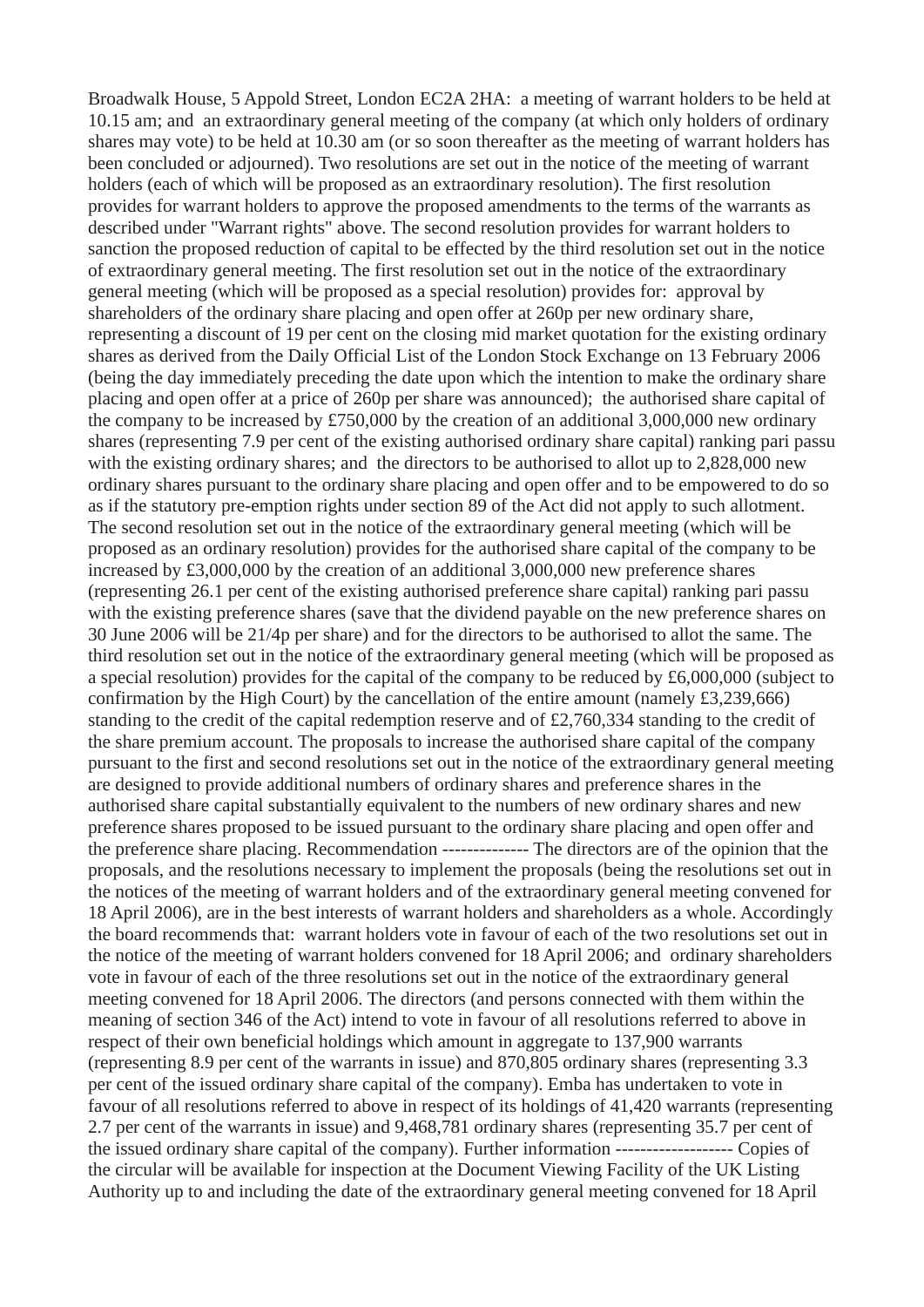Broadwalk House, 5 Appold Street, London EC2A 2HA: a meeting of warrant holders to be held at 10.15 am; and an extraordinary general meeting of the company (at which only holders of ordinary shares may vote) to be held at 10.30 am (or so soon thereafter as the meeting of warrant holders has been concluded or adjourned). Two resolutions are set out in the notice of the meeting of warrant holders (each of which will be proposed as an extraordinary resolution). The first resolution provides for warrant holders to approve the proposed amendments to the terms of the warrants as described under "Warrant rights" above. The second resolution provides for warrant holders to sanction the proposed reduction of capital to be effected by the third resolution set out in the notice of extraordinary general meeting. The first resolution set out in the notice of the extraordinary general meeting (which will be proposed as a special resolution) provides for: approval by shareholders of the ordinary share placing and open offer at 260p per new ordinary share, representing a discount of 19 per cent on the closing mid market quotation for the existing ordinary shares as derived from the Daily Official List of the London Stock Exchange on 13 February 2006 (being the day immediately preceding the date upon which the intention to make the ordinary share placing and open offer at a price of 260p per share was announced); the authorised share capital of the company to be increased by £750,000 by the creation of an additional 3,000,000 new ordinary shares (representing 7.9 per cent of the existing authorised ordinary share capital) ranking pari passu with the existing ordinary shares; and the directors to be authorised to allot up to 2,828,000 new ordinary shares pursuant to the ordinary share placing and open offer and to be empowered to do so as if the statutory pre-emption rights under section 89 of the Act did not apply to such allotment. The second resolution set out in the notice of the extraordinary general meeting (which will be proposed as an ordinary resolution) provides for the authorised share capital of the company to be increased by £3,000,000 by the creation of an additional 3,000,000 new preference shares (representing 26.1 per cent of the existing authorised preference share capital) ranking pari passu with the existing preference shares (save that the dividend payable on the new preference shares on 30 June 2006 will be 21/4p per share) and for the directors to be authorised to allot the same. The third resolution set out in the notice of the extraordinary general meeting (which will be proposed as a special resolution) provides for the capital of the company to be reduced by £6,000,000 (subject to confirmation by the High Court) by the cancellation of the entire amount (namely £3,239,666) standing to the credit of the capital redemption reserve and of £2,760,334 standing to the credit of the share premium account. The proposals to increase the authorised share capital of the company pursuant to the first and second resolutions set out in the notice of the extraordinary general meeting are designed to provide additional numbers of ordinary shares and preference shares in the authorised share capital substantially equivalent to the numbers of new ordinary shares and new preference shares proposed to be issued pursuant to the ordinary share placing and open offer and the preference share placing. Recommendation -------------- The directors are of the opinion that the proposals, and the resolutions necessary to implement the proposals (being the resolutions set out in the notices of the meeting of warrant holders and of the extraordinary general meeting convened for 18 April 2006), are in the best interests of warrant holders and shareholders as a whole. Accordingly the board recommends that: warrant holders vote in favour of each of the two resolutions set out in the notice of the meeting of warrant holders convened for 18 April 2006; and ordinary shareholders vote in favour of each of the three resolutions set out in the notice of the extraordinary general meeting convened for 18 April 2006. The directors (and persons connected with them within the meaning of section 346 of the Act) intend to vote in favour of all resolutions referred to above in respect of their own beneficial holdings which amount in aggregate to 137,900 warrants (representing 8.9 per cent of the warrants in issue) and 870,805 ordinary shares (representing 3.3 per cent of the issued ordinary share capital of the company). Emba has undertaken to vote in favour of all resolutions referred to above in respect of its holdings of 41,420 warrants (representing 2.7 per cent of the warrants in issue) and 9,468,781 ordinary shares (representing 35.7 per cent of the issued ordinary share capital of the company). Further information ------------------- Copies of the circular will be available for inspection at the Document Viewing Facility of the UK Listing Authority up to and including the date of the extraordinary general meeting convened for 18 April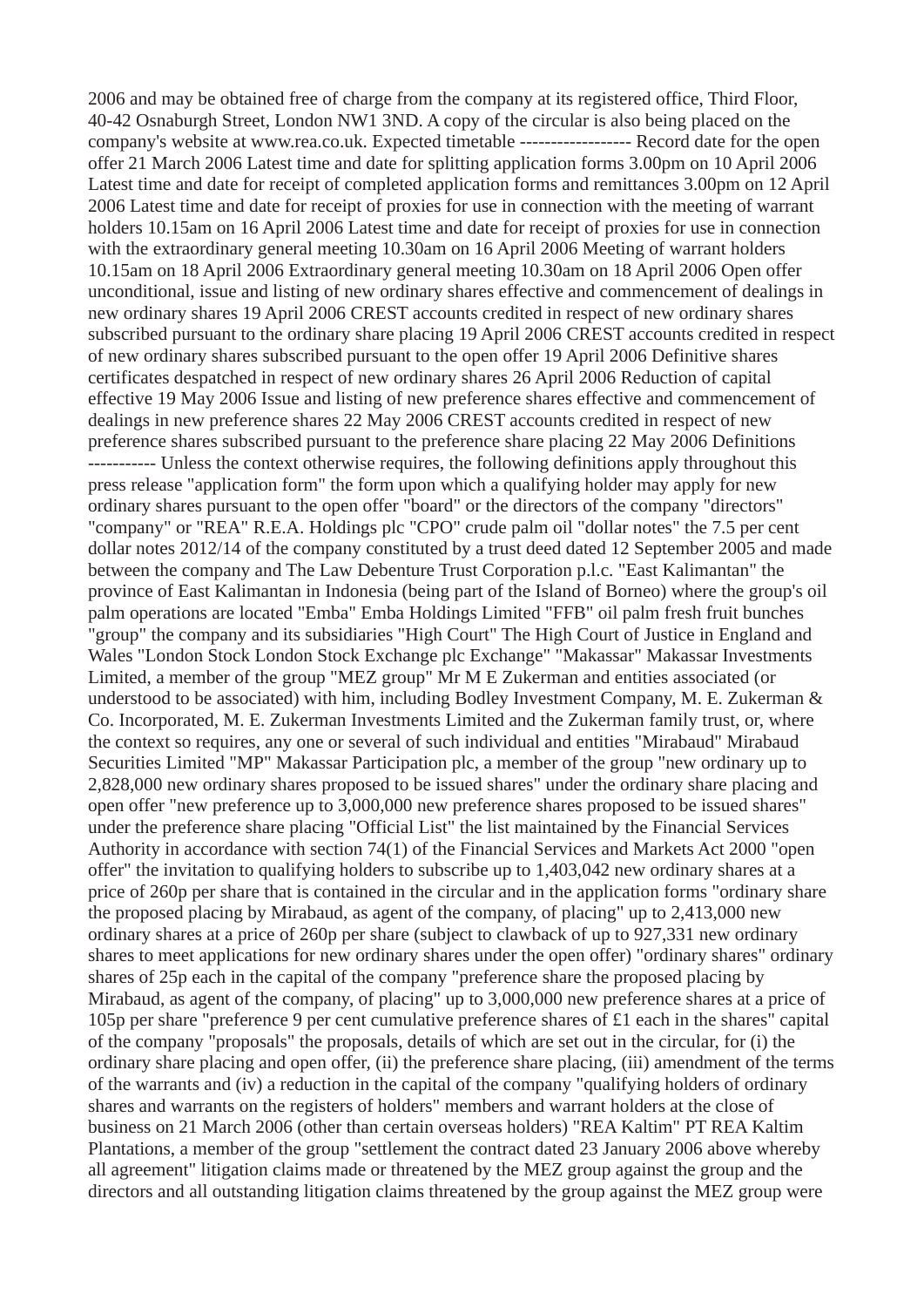2006 and may be obtained free of charge from the company at its registered office, Third Floor, 40-42 Osnaburgh Street, London NW1 3ND. A copy of the circular is also being placed on the company's website at www.rea.co.uk. Expected timetable ------------------ Record date for the open offer 21 March 2006 Latest time and date for splitting application forms 3.00pm on 10 April 2006 Latest time and date for receipt of completed application forms and remittances 3.00pm on 12 April 2006 Latest time and date for receipt of proxies for use in connection with the meeting of warrant holders 10.15am on 16 April 2006 Latest time and date for receipt of proxies for use in connection with the extraordinary general meeting 10.30am on 16 April 2006 Meeting of warrant holders 10.15am on 18 April 2006 Extraordinary general meeting 10.30am on 18 April 2006 Open offer unconditional, issue and listing of new ordinary shares effective and commencement of dealings in new ordinary shares 19 April 2006 CREST accounts credited in respect of new ordinary shares subscribed pursuant to the ordinary share placing 19 April 2006 CREST accounts credited in respect of new ordinary shares subscribed pursuant to the open offer 19 April 2006 Definitive shares certificates despatched in respect of new ordinary shares 26 April 2006 Reduction of capital effective 19 May 2006 Issue and listing of new preference shares effective and commencement of dealings in new preference shares 22 May 2006 CREST accounts credited in respect of new preference shares subscribed pursuant to the preference share placing 22 May 2006 Definitions ----------- Unless the context otherwise requires, the following definitions apply throughout this press release "application form" the form upon which a qualifying holder may apply for new ordinary shares pursuant to the open offer "board" or the directors of the company "directors" "company" or "REA" R.E.A. Holdings plc "CPO" crude palm oil "dollar notes" the 7.5 per cent dollar notes 2012/14 of the company constituted by a trust deed dated 12 September 2005 and made between the company and The Law Debenture Trust Corporation p.l.c. "East Kalimantan" the province of East Kalimantan in Indonesia (being part of the Island of Borneo) where the group's oil palm operations are located "Emba" Emba Holdings Limited "FFB" oil palm fresh fruit bunches "group" the company and its subsidiaries "High Court" The High Court of Justice in England and Wales "London Stock London Stock Exchange plc Exchange" "Makassar" Makassar Investments Limited, a member of the group "MEZ group" Mr M E Zukerman and entities associated (or understood to be associated) with him, including Bodley Investment Company, M. E. Zukerman & Co. Incorporated, M. E. Zukerman Investments Limited and the Zukerman family trust, or, where the context so requires, any one or several of such individual and entities "Mirabaud" Mirabaud Securities Limited "MP" Makassar Participation plc, a member of the group "new ordinary up to 2,828,000 new ordinary shares proposed to be issued shares" under the ordinary share placing and open offer "new preference up to 3,000,000 new preference shares proposed to be issued shares" under the preference share placing "Official List" the list maintained by the Financial Services Authority in accordance with section 74(1) of the Financial Services and Markets Act 2000 "open offer" the invitation to qualifying holders to subscribe up to 1,403,042 new ordinary shares at a price of 260p per share that is contained in the circular and in the application forms "ordinary share the proposed placing by Mirabaud, as agent of the company, of placing" up to 2,413,000 new ordinary shares at a price of 260p per share (subject to clawback of up to 927,331 new ordinary shares to meet applications for new ordinary shares under the open offer) "ordinary shares" ordinary shares of 25p each in the capital of the company "preference share the proposed placing by Mirabaud, as agent of the company, of placing" up to 3,000,000 new preference shares at a price of 105p per share "preference 9 per cent cumulative preference shares of £1 each in the shares" capital of the company "proposals" the proposals, details of which are set out in the circular, for (i) the ordinary share placing and open offer, (ii) the preference share placing, (iii) amendment of the terms of the warrants and (iv) a reduction in the capital of the company "qualifying holders of ordinary shares and warrants on the registers of holders" members and warrant holders at the close of business on 21 March 2006 (other than certain overseas holders) "REA Kaltim" PT REA Kaltim Plantations, a member of the group "settlement the contract dated 23 January 2006 above whereby all agreement" litigation claims made or threatened by the MEZ group against the group and the directors and all outstanding litigation claims threatened by the group against the MEZ group were